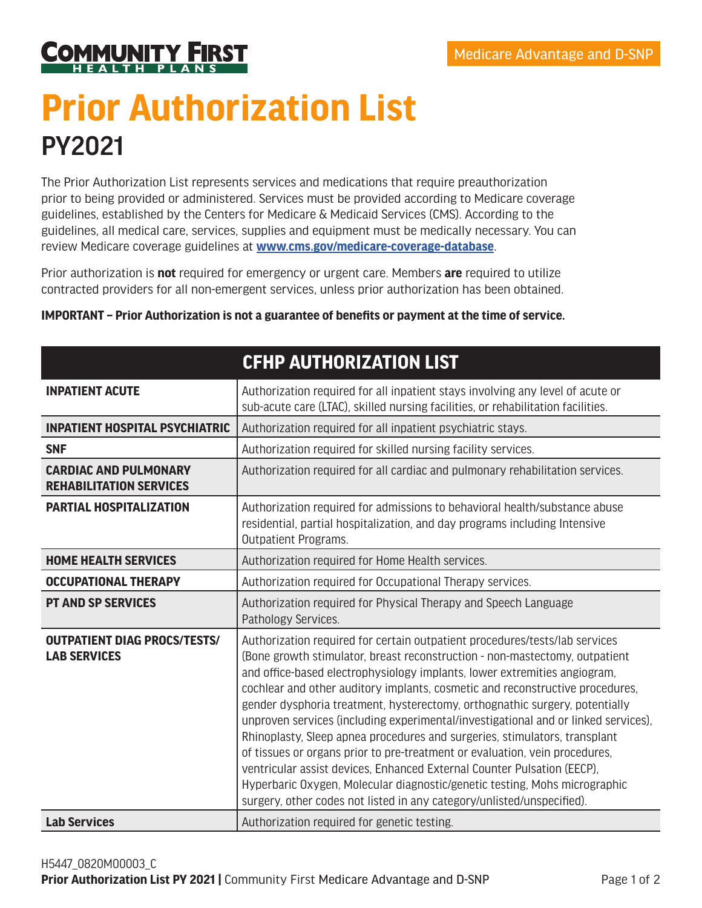

## **Prior Authorization List** PY2021

The Prior Authorization List represents services and medications that require preauthorization prior to being provided or administered. Services must be provided according to Medicare coverage guidelines, established by the Centers for Medicare & Medicaid Services (CMS). According to the guidelines, all medical care, services, supplies and equipment must be medically necessary. You can review Medicare coverage guidelines at **<www.cms.gov/medicare-coverage-database>**.

Prior authorization is **not** required for emergency or urgent care. Members **are** required to utilize contracted providers for all non-emergent services, unless prior authorization has been obtained.

|                                                                | CFHP AUTHURIZATION LIST                                                                                                                                                                                                                                                                                                                                                                                                                                                                                                                                                                                                                                                                                                                                                                                                                                                                       |
|----------------------------------------------------------------|-----------------------------------------------------------------------------------------------------------------------------------------------------------------------------------------------------------------------------------------------------------------------------------------------------------------------------------------------------------------------------------------------------------------------------------------------------------------------------------------------------------------------------------------------------------------------------------------------------------------------------------------------------------------------------------------------------------------------------------------------------------------------------------------------------------------------------------------------------------------------------------------------|
| <b>INPATIENT ACUTE</b>                                         | Authorization required for all inpatient stays involving any level of acute or<br>sub-acute care (LTAC), skilled nursing facilities, or rehabilitation facilities.                                                                                                                                                                                                                                                                                                                                                                                                                                                                                                                                                                                                                                                                                                                            |
| <b>INPATIENT HOSPITAL PSYCHIATRIC</b>                          | Authorization required for all inpatient psychiatric stays.                                                                                                                                                                                                                                                                                                                                                                                                                                                                                                                                                                                                                                                                                                                                                                                                                                   |
| <b>SNF</b>                                                     | Authorization required for skilled nursing facility services.                                                                                                                                                                                                                                                                                                                                                                                                                                                                                                                                                                                                                                                                                                                                                                                                                                 |
| <b>CARDIAC AND PULMONARY</b><br><b>REHABILITATION SERVICES</b> | Authorization required for all cardiac and pulmonary rehabilitation services.                                                                                                                                                                                                                                                                                                                                                                                                                                                                                                                                                                                                                                                                                                                                                                                                                 |
| <b>PARTIAL HOSPITALIZATION</b>                                 | Authorization required for admissions to behavioral health/substance abuse<br>residential, partial hospitalization, and day programs including Intensive<br><b>Outpatient Programs.</b>                                                                                                                                                                                                                                                                                                                                                                                                                                                                                                                                                                                                                                                                                                       |
| <b>HOME HEALTH SERVICES</b>                                    | Authorization required for Home Health services.                                                                                                                                                                                                                                                                                                                                                                                                                                                                                                                                                                                                                                                                                                                                                                                                                                              |
| <b>OCCUPATIONAL THERAPY</b>                                    | Authorization required for Occupational Therapy services.                                                                                                                                                                                                                                                                                                                                                                                                                                                                                                                                                                                                                                                                                                                                                                                                                                     |
| <b>PT AND SP SERVICES</b>                                      | Authorization required for Physical Therapy and Speech Language<br>Pathology Services.                                                                                                                                                                                                                                                                                                                                                                                                                                                                                                                                                                                                                                                                                                                                                                                                        |
| <b>OUTPATIENT DIAG PROCS/TESTS/</b><br><b>LAB SERVICES</b>     | Authorization required for certain outpatient procedures/tests/lab services<br>(Bone growth stimulator, breast reconstruction - non-mastectomy, outpatient<br>and office-based electrophysiology implants, lower extremities angiogram,<br>cochlear and other auditory implants, cosmetic and reconstructive procedures,<br>gender dysphoria treatment, hysterectomy, orthognathic surgery, potentially<br>unproven services (including experimental/investigational and or linked services),<br>Rhinoplasty, Sleep apnea procedures and surgeries, stimulators, transplant<br>of tissues or organs prior to pre-treatment or evaluation, vein procedures,<br>ventricular assist devices, Enhanced External Counter Pulsation (EECP),<br>Hyperbaric Oxygen, Molecular diagnostic/genetic testing, Mohs micrographic<br>surgery, other codes not listed in any category/unlisted/unspecified). |
| <b>Lab Services</b>                                            | Authorization required for genetic testing.                                                                                                                                                                                                                                                                                                                                                                                                                                                                                                                                                                                                                                                                                                                                                                                                                                                   |

**CFHP AUTHORIZATION LIST**

## **IMPORTANT – Prior Authorization is not a guarantee of benefits or payment at the time of service.**